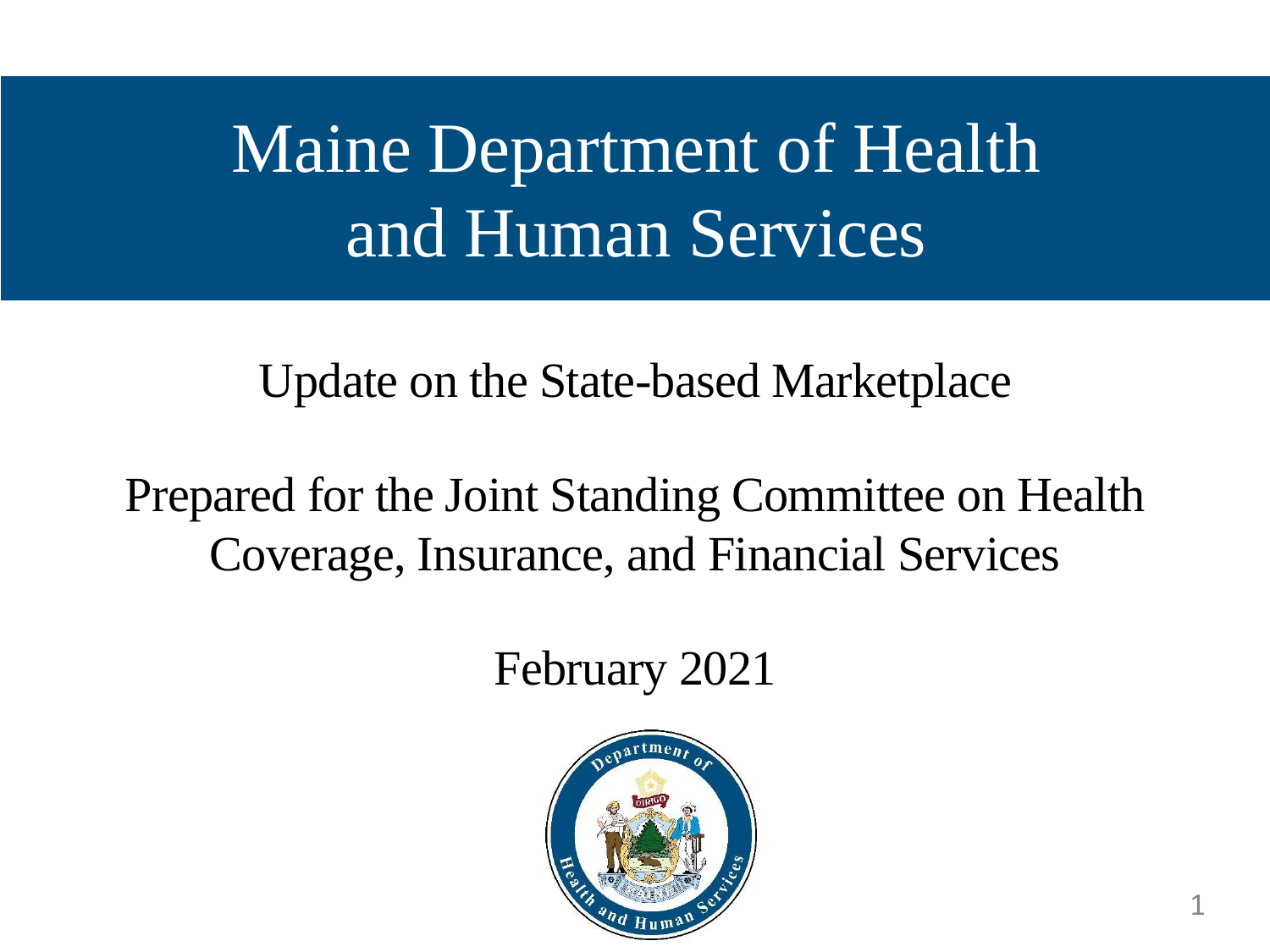# Maine Department of Health and Human Services

Update on the State-based Marketplace

Prepared for the Joint Standing Committee on Health Coverage, Insurance, and Financial Services

February 2021

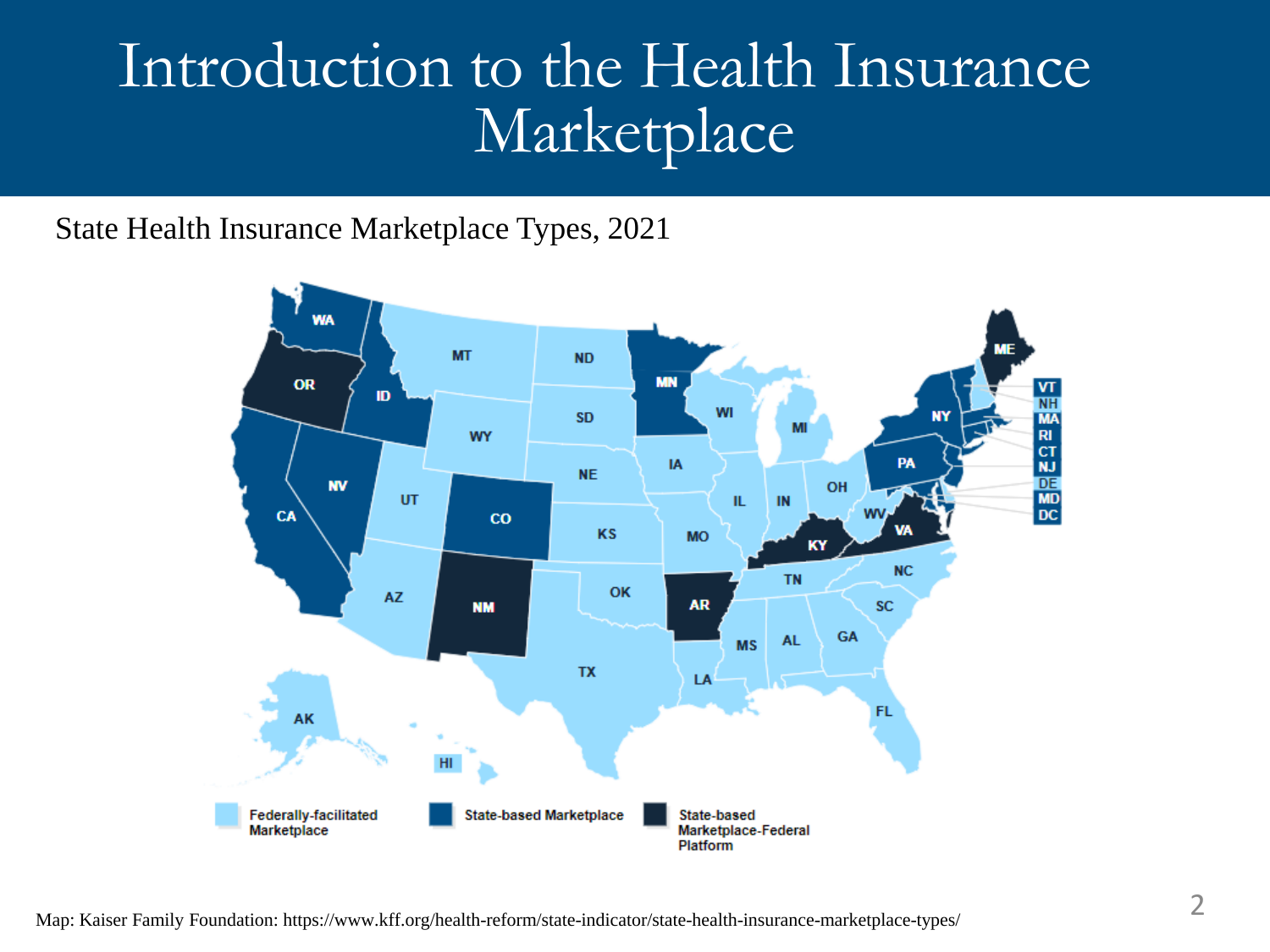#### Introduction to the Health Insurance Marketplace

State Health Insurance Marketplace Types, 2021

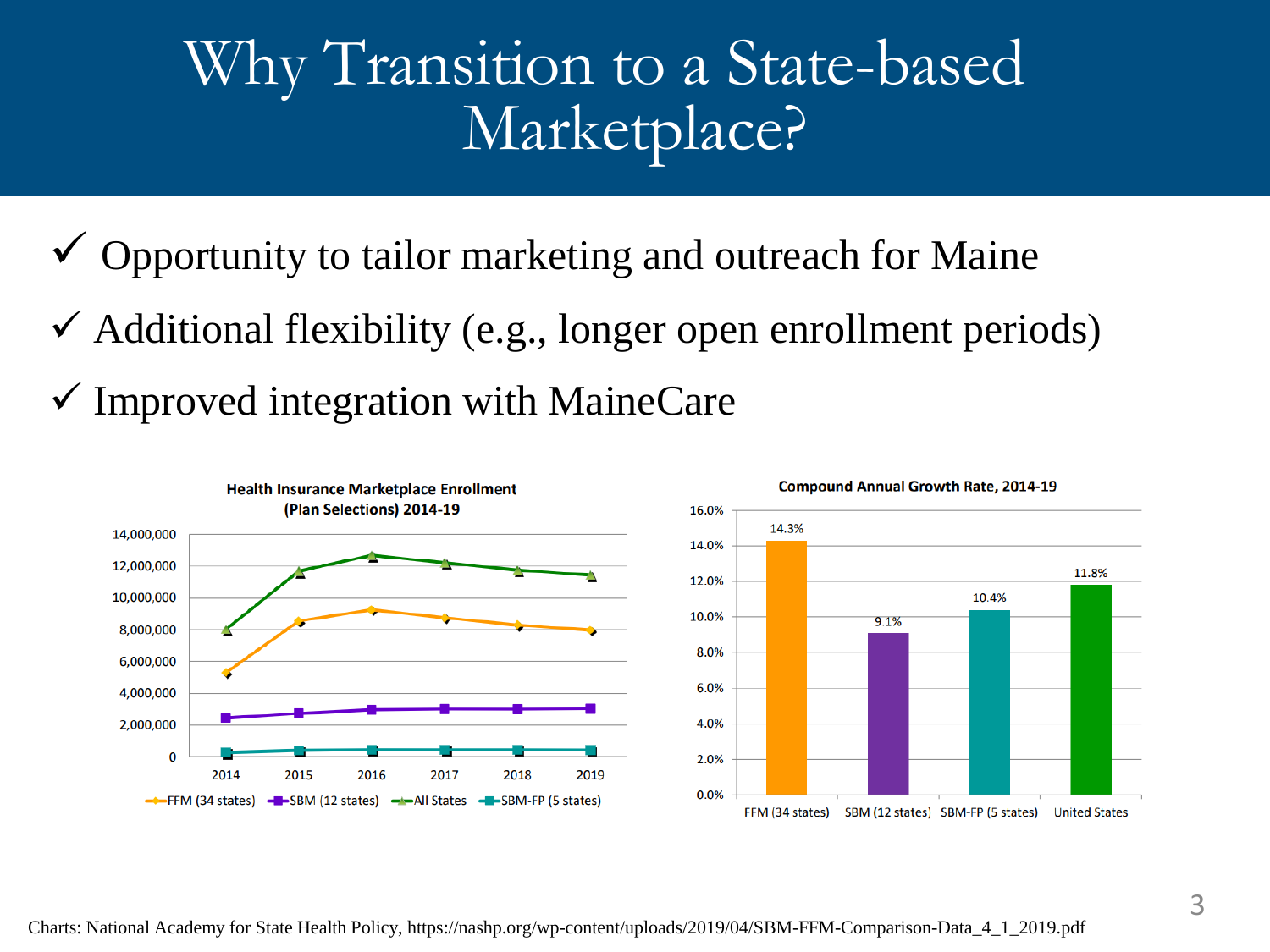#### Why Transition to a State-based Marketplace?

- $\checkmark$  Opportunity to tailor marketing and outreach for Maine
- $\checkmark$  Additional flexibility (e.g., longer open enrollment periods)
- $\checkmark$  Improved integration with MaineCare



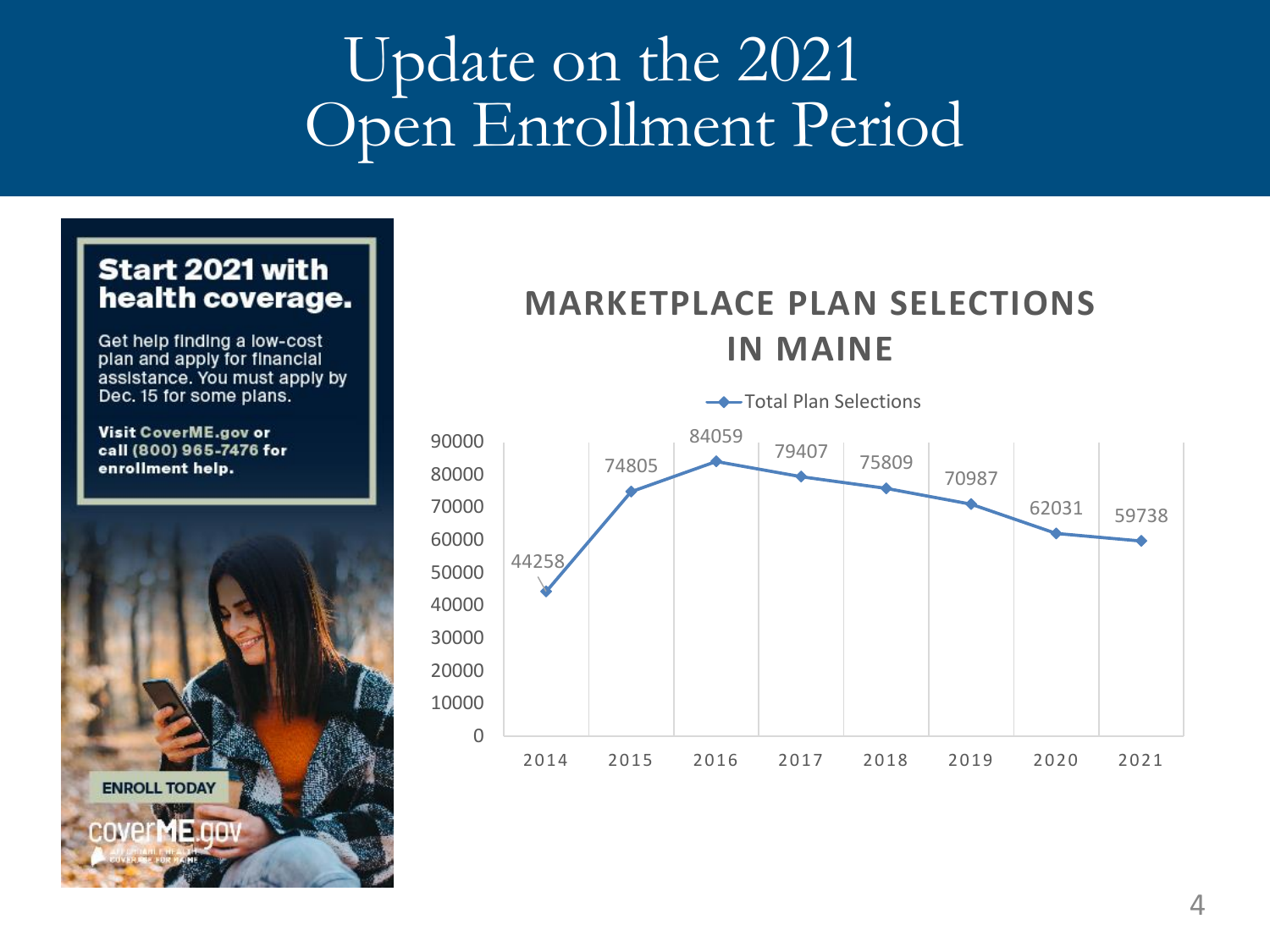### Update on the 2021 Open Enrollment Period

#### Start 2021 with health coverage.

Get help finding a low-cost plan and apply for financial assistance. You must apply by Dec. 15 for some plans.

Visit CoverME.gov or call (800) 965-7476 for enrollment help.



#### **MARKETPLACE PLAN SELECTIONS IN MAINE**

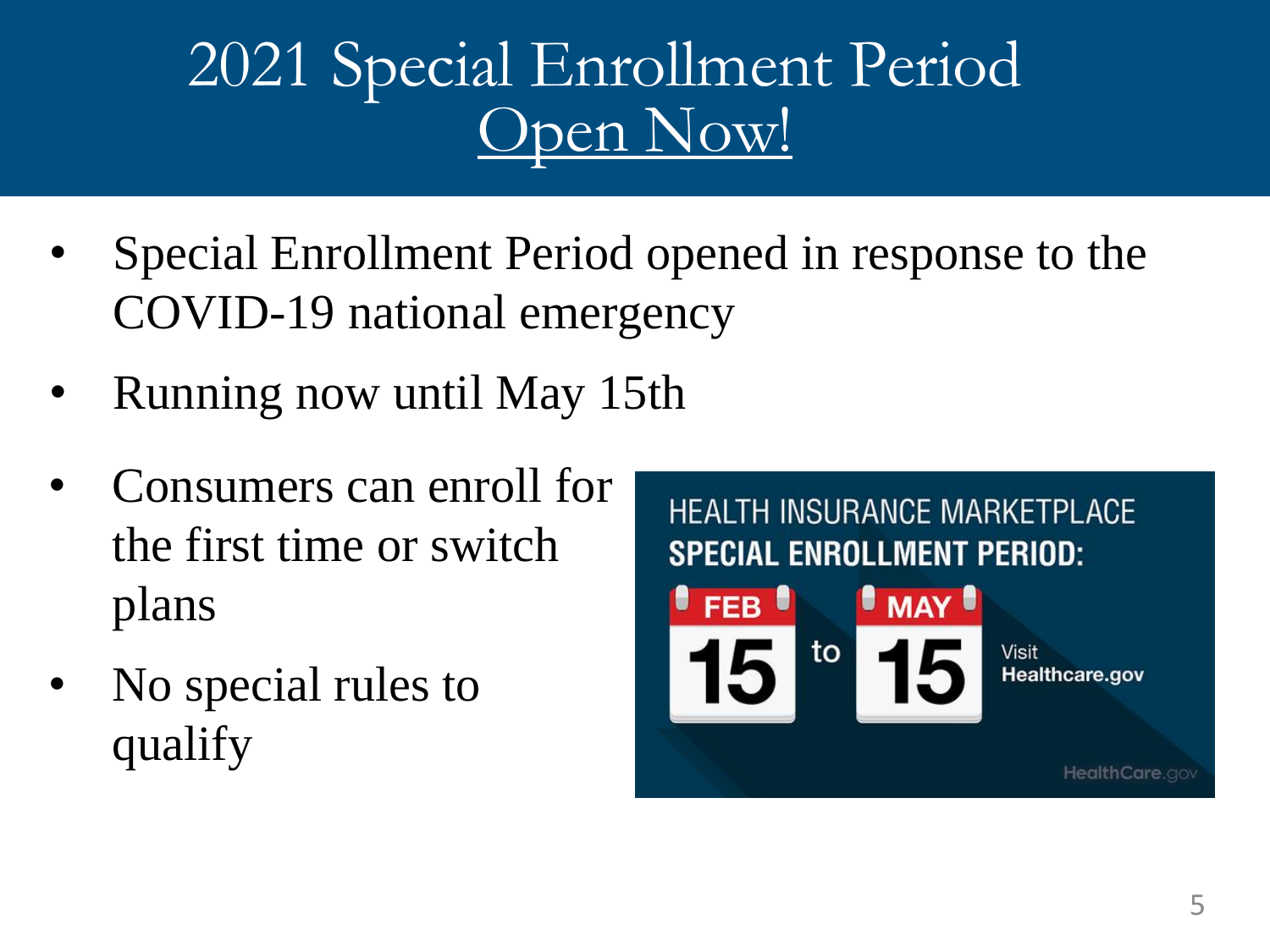## 2021 Special Enrollment Period Open Now!

- Special Enrollment Period opened in response to the COVID-19 national emergency
- Running now until May 15th
- Consumers can enroll for the first time or switch plans
- No special rules to qualify

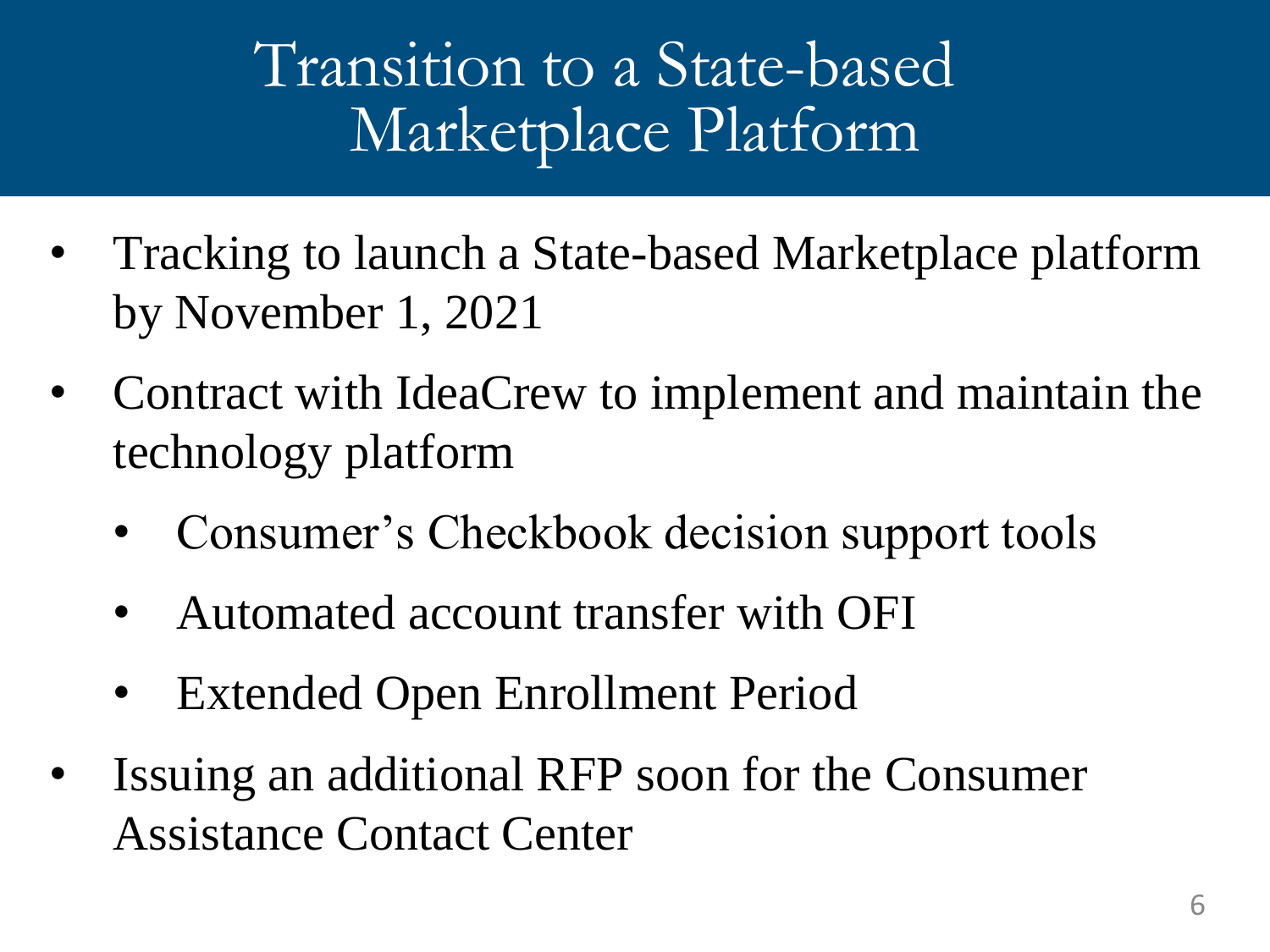### Transition to a State-based Marketplace Platform

- Tracking to launch a State-based Marketplace platform by November 1, 2021
- Contract with IdeaCrew to implement and maintain the technology platform
	- Consumer's Checkbook decision support tools
	- Automated account transfer with OFI
	- **Extended Open Enrollment Period**
- Issuing an additional RFP soon for the Consumer Assistance Contact Center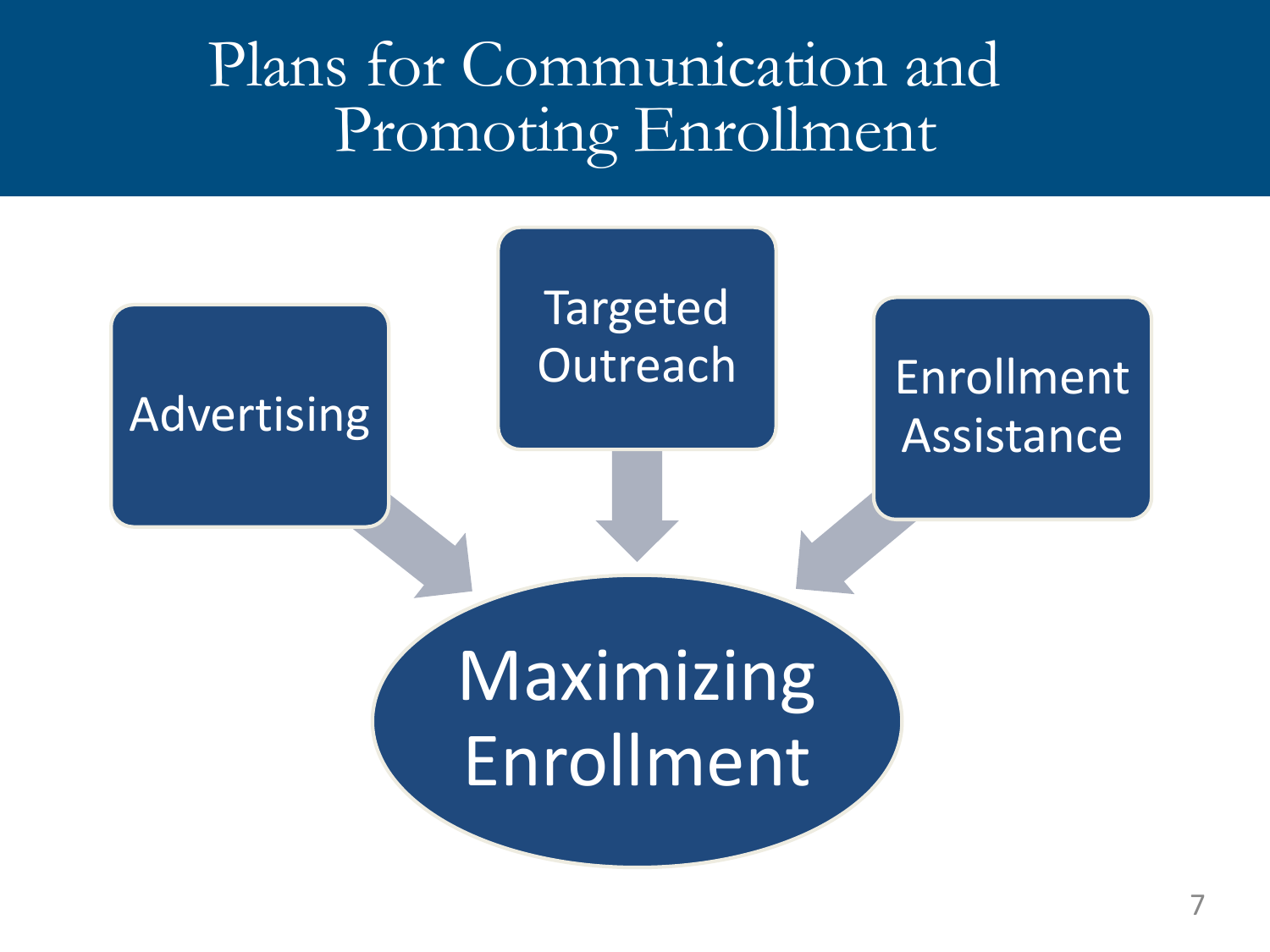#### Plans for Communication and Promoting Enrollment

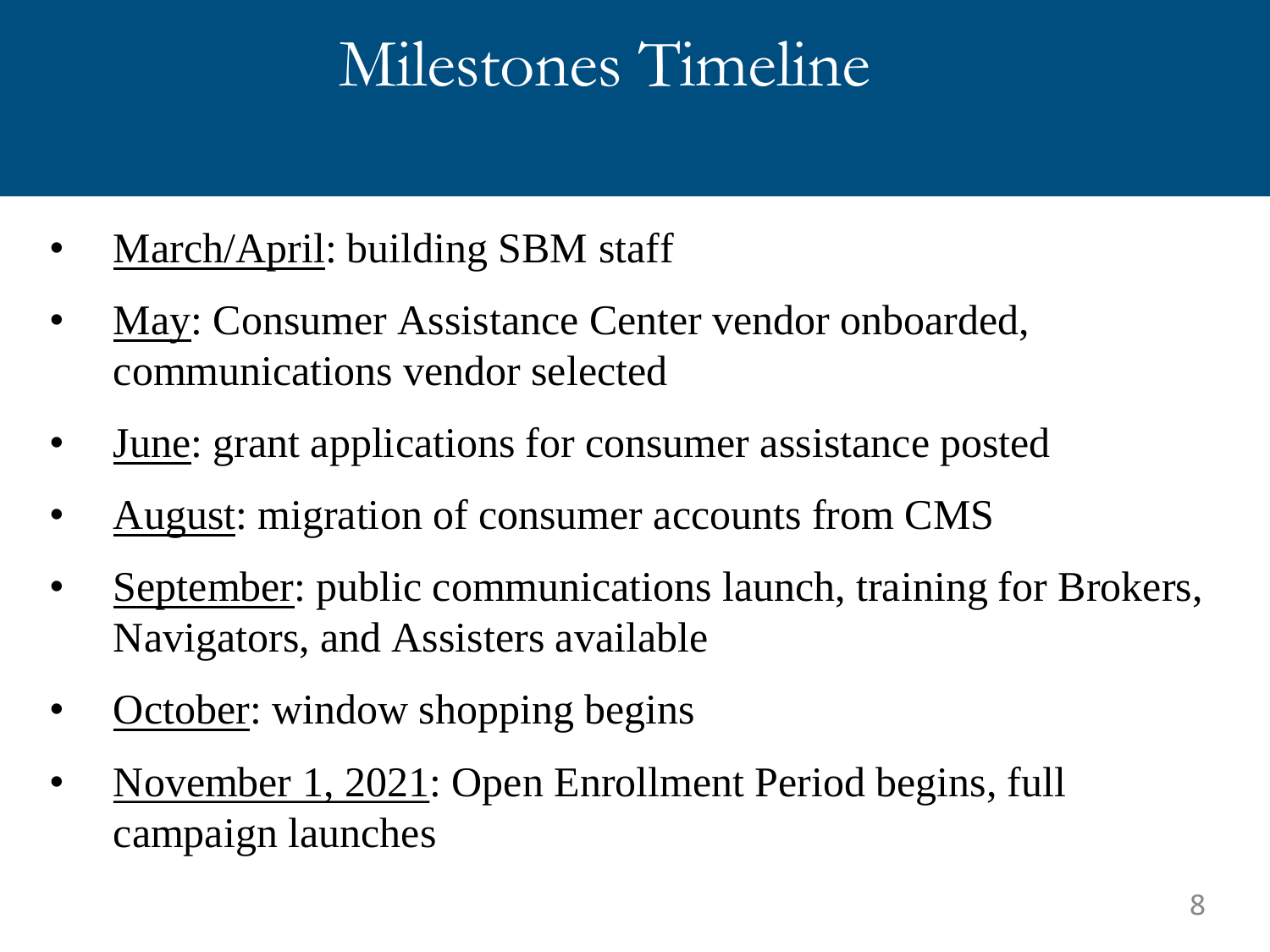## Milestones Timeline

- March/April: building SBM staff
- May: Consumer Assistance Center vendor onboarded, communications vendor selected
- June: grant applications for consumer assistance posted
- August: migration of consumer accounts from CMS
- September: public communications launch, training for Brokers, Navigators, and Assisters available
- **October:** window shopping begins
- November 1, 2021: Open Enrollment Period begins, full campaign launches